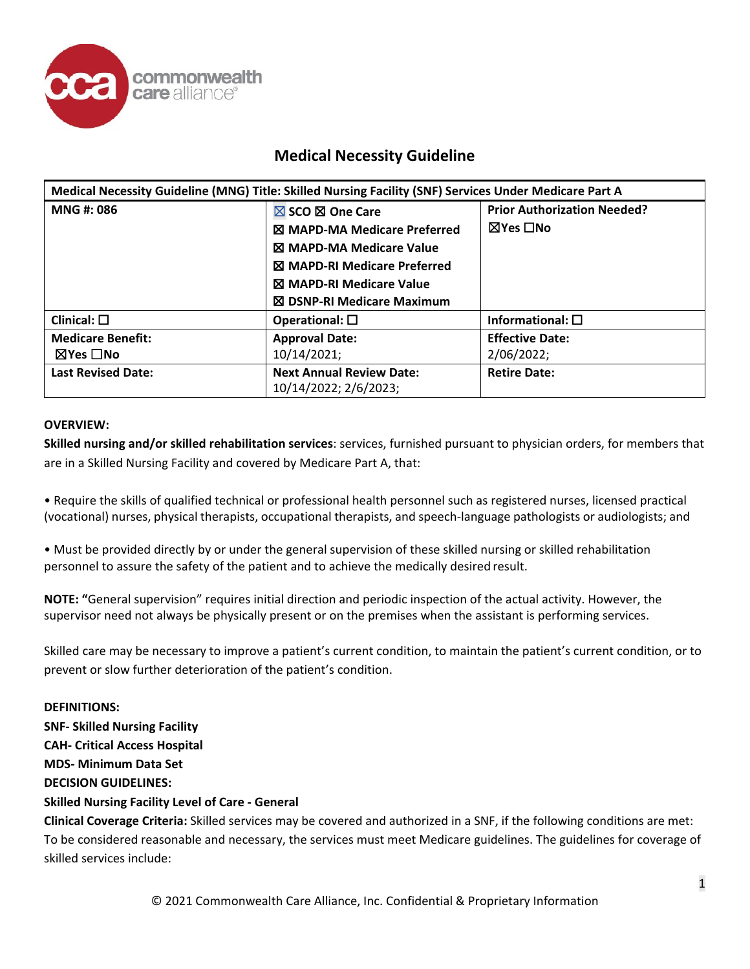

| Medical Necessity Guideline (MNG) Title: Skilled Nursing Facility (SNF) Services Under Medicare Part A |                                                                                                                                                       |                                                |
|--------------------------------------------------------------------------------------------------------|-------------------------------------------------------------------------------------------------------------------------------------------------------|------------------------------------------------|
| MNG #: 086                                                                                             | $\boxtimes$ SCO $\boxtimes$ One Care<br><b>X MAPD-MA Medicare Preferred</b><br><b>N</b> MAPD-MA Medicare Value<br><b>X MAPD-RI Medicare Preferred</b> | <b>Prior Authorization Needed?</b><br>⊠Yes □No |
|                                                                                                        | <b>X MAPD-RI Medicare Value</b><br><b>⊠ DSNP-RI Medicare Maximum</b>                                                                                  |                                                |
| Clinical: $\square$                                                                                    | Operational: $\square$                                                                                                                                | Informational: $\square$                       |
| <b>Medicare Benefit:</b>                                                                               | <b>Approval Date:</b>                                                                                                                                 | <b>Effective Date:</b>                         |
| ⊠Yes □No                                                                                               | 10/14/2021;                                                                                                                                           | 2/06/2022;                                     |
| <b>Last Revised Date:</b>                                                                              | <b>Next Annual Review Date:</b><br>10/14/2022; 2/6/2023;                                                                                              | <b>Retire Date:</b>                            |

### **OVERVIEW:**

**Skilled nursing and/or skilled rehabilitation services**: services, furnished pursuant to physician orders, for members that are in a Skilled Nursing Facility and covered by Medicare Part A, that:

• Require the skills of qualified technical or professional health personnel such as registered nurses, licensed practical (vocational) nurses, physical therapists, occupational therapists, and speech-language pathologists or audiologists; and

• Must be provided directly by or under the general supervision of these skilled nursing or skilled rehabilitation personnel to assure the safety of the patient and to achieve the medically desired result.

**NOTE: "**General supervision" requires initial direction and periodic inspection of the actual activity. However, the supervisor need not always be physically present or on the premises when the assistant is performing services.

Skilled care may be necessary to improve a patient's current condition, to maintain the patient's current condition, or to prevent or slow further deterioration of the patient's condition.

**DEFINITIONS: SNF- Skilled Nursing Facility CAH- Critical Access Hospital MDS- Minimum Data Set DECISION GUIDELINES: Skilled Nursing Facility Level of Care - General**

**Clinical Coverage Criteria:** Skilled services may be covered and authorized in a SNF, if the following conditions are met: To be considered reasonable and necessary, the services must meet Medicare guidelines. The guidelines for coverage of skilled services include: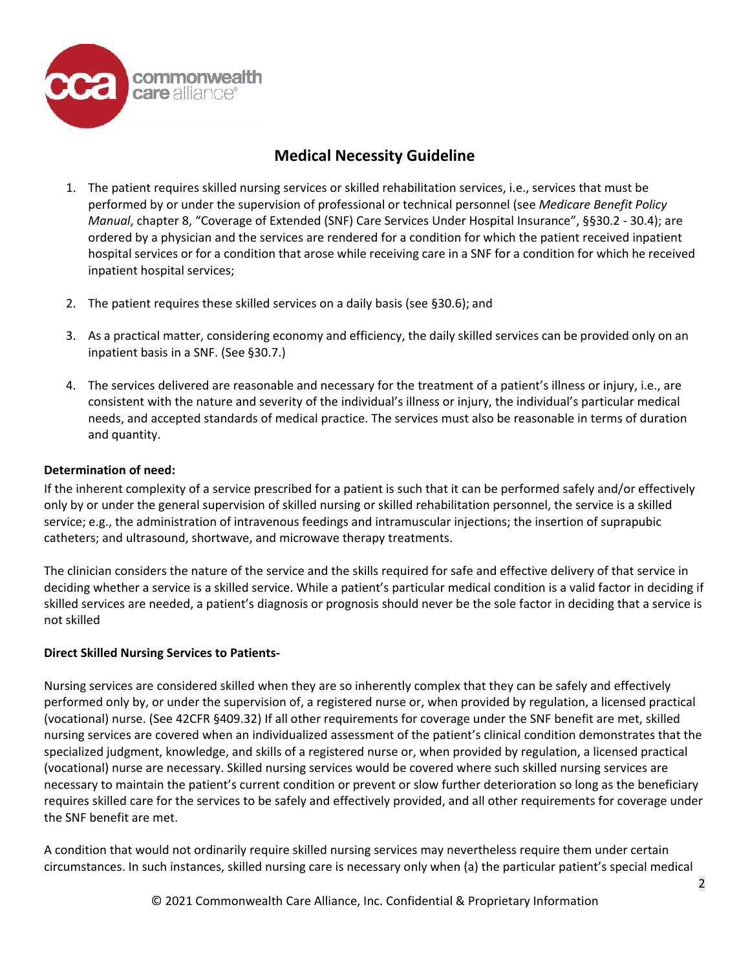

- 1. The patient requires skilled nursing services or skilled rehabilitation services, i.e., services that must be performed by or under the supervision of professional or technical personnel (see *Medicare Benefit Policy Manual*, chapter 8, "Coverage of Extended (SNF) Care Services Under Hospital Insurance", §§30.2 - 30.4); are ordered by a physician and the services are rendered for a condition for which the patient received inpatient hospital services or for a condition that arose while receiving care in a SNF for a condition for which he received inpatient hospital services;
- 2. The patient requires these skilled services on a daily basis (see §30.6); and
- 3. As a practical matter, considering economy and efficiency, the daily skilled services can be provided only on an inpatient basis in a SNF. (See §30.7.)
- 4. The services delivered are reasonable and necessary for the treatment of a patient's illness or injury, i.e., are consistent with the nature and severity of the individual's illness or injury, the individual's particular medical needs, and accepted standards of medical practice. The services must also be reasonable in terms of duration and quantity.

### **Determination of need:**

If the inherent complexity of a service prescribed for a patient is such that it can be performed safely and/or effectively only by or under the general supervision of skilled nursing or skilled rehabilitation personnel, the service is a skilled service; e.g., the administration of intravenous feedings and intramuscular injections; the insertion of suprapubic catheters; and ultrasound, shortwave, and microwave therapy treatments.

The clinician considers the nature of the service and the skills required for safe and effective delivery of that service in deciding whether a service is a skilled service. While a patient's particular medical condition is a valid factor in deciding if skilled services are needed, a patient's diagnosis or prognosis should never be the sole factor in deciding that a service is not skilled

### **Direct Skilled Nursing Services to Patients-**

Nursing services are considered skilled when they are so inherently complex that they can be safely and effectively performed only by, or under the supervision of, a registered nurse or, when provided by regulation, a licensed practical (vocational) nurse. (See 42CFR §409.32) If all other requirements for coverage under the SNF benefit are met, skilled nursing services are covered when an individualized assessment of the patient's clinical condition demonstrates that the specialized judgment, knowledge, and skills of a registered nurse or, when provided by regulation, a licensed practical (vocational) nurse are necessary. Skilled nursing services would be covered where such skilled nursing services are necessary to maintain the patient's current condition or prevent or slow further deterioration so long as the beneficiary requires skilled care for the services to be safely and effectively provided, and all other requirements for coverage under the SNF benefit are met.

A condition that would not ordinarily require skilled nursing services may nevertheless require them under certain circumstances. In such instances, skilled nursing care is necessary only when (a) the particular patient's special medical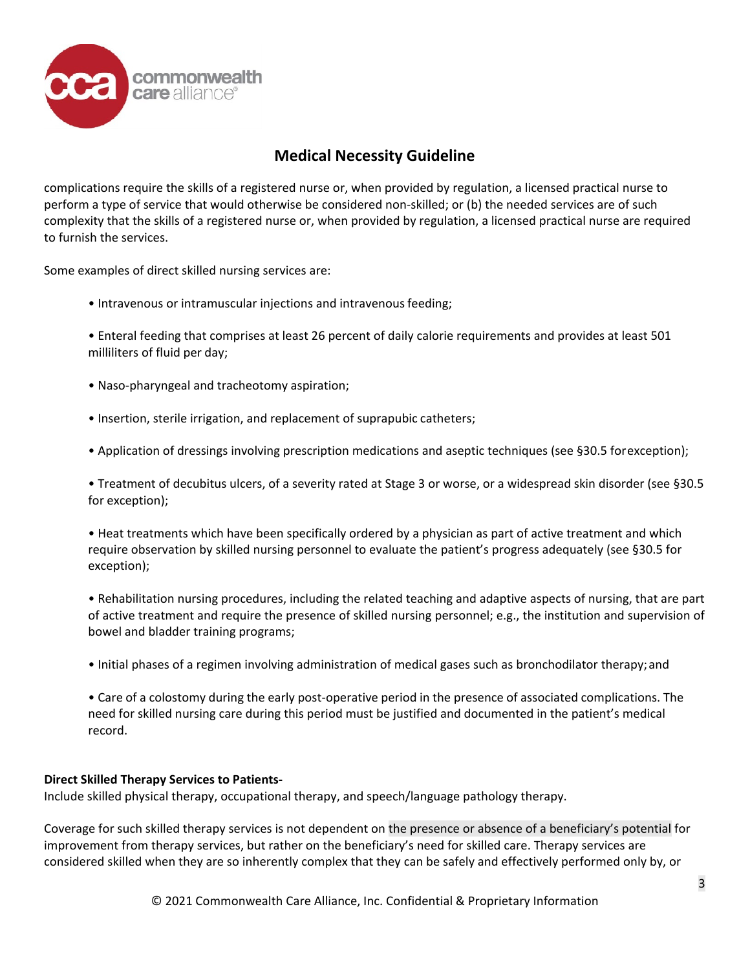

complications require the skills of a registered nurse or, when provided by regulation, a licensed practical nurse to perform a type of service that would otherwise be considered non-skilled; or (b) the needed services are of such complexity that the skills of a registered nurse or, when provided by regulation, a licensed practical nurse are required to furnish the services.

Some examples of direct skilled nursing services are:

- Intravenous or intramuscular injections and intravenous feeding;
- Enteral feeding that comprises at least 26 percent of daily calorie requirements and provides at least 501 milliliters of fluid per day;
- Naso-pharyngeal and tracheotomy aspiration;
- Insertion, sterile irrigation, and replacement of suprapubic catheters;
- Application of dressings involving prescription medications and aseptic techniques (see §30.5 forexception);

• Treatment of decubitus ulcers, of a severity rated at Stage 3 or worse, or a widespread skin disorder (see §30.5 for exception);

• Heat treatments which have been specifically ordered by a physician as part of active treatment and which require observation by skilled nursing personnel to evaluate the patient's progress adequately (see §30.5 for exception);

• Rehabilitation nursing procedures, including the related teaching and adaptive aspects of nursing, that are part of active treatment and require the presence of skilled nursing personnel; e.g., the institution and supervision of bowel and bladder training programs;

• Initial phases of a regimen involving administration of medical gases such as bronchodilator therapy;and

• Care of a colostomy during the early post-operative period in the presence of associated complications. The need for skilled nursing care during this period must be justified and documented in the patient's medical record.

### **Direct Skilled Therapy Services to Patients-**

Include skilled physical therapy, occupational therapy, and speech/language pathology therapy.

Coverage for such skilled therapy services is not dependent on the presence or absence of a beneficiary's potential for improvement from therapy services, but rather on the beneficiary's need for skilled care. Therapy services are considered skilled when they are so inherently complex that they can be safely and effectively performed only by, or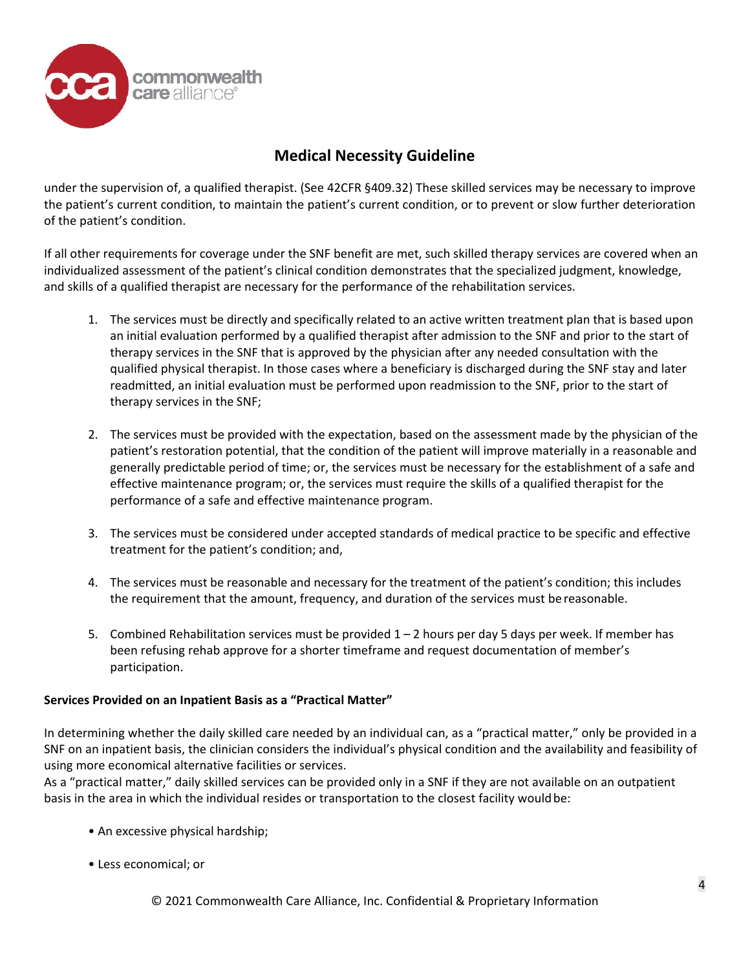

under the supervision of, a qualified therapist. (See 42CFR §409.32) These skilled services may be necessary to improve the patient's current condition, to maintain the patient's current condition, or to prevent or slow further deterioration of the patient's condition.

If all other requirements for coverage under the SNF benefit are met, such skilled therapy services are covered when an individualized assessment of the patient's clinical condition demonstrates that the specialized judgment, knowledge, and skills of a qualified therapist are necessary for the performance of the rehabilitation services.

- 1. The services must be directly and specifically related to an active written treatment plan that is based upon an initial evaluation performed by a qualified therapist after admission to the SNF and prior to the start of therapy services in the SNF that is approved by the physician after any needed consultation with the qualified physical therapist. In those cases where a beneficiary is discharged during the SNF stay and later readmitted, an initial evaluation must be performed upon readmission to the SNF, prior to the start of therapy services in the SNF;
- 2. The services must be provided with the expectation, based on the assessment made by the physician of the patient's restoration potential, that the condition of the patient will improve materially in a reasonable and generally predictable period of time; or, the services must be necessary for the establishment of a safe and effective maintenance program; or, the services must require the skills of a qualified therapist for the performance of a safe and effective maintenance program.
- 3. The services must be considered under accepted standards of medical practice to be specific and effective treatment for the patient's condition; and,
- 4. The services must be reasonable and necessary for the treatment of the patient's condition; this includes the requirement that the amount, frequency, and duration of the services must be reasonable.
- 5. Combined Rehabilitation services must be provided 1 2 hours per day 5 days per week. If member has been refusing rehab approve for a shorter timeframe and request documentation of member's participation.

### **Services Provided on an Inpatient Basis as a "Practical Matter"**

In determining whether the daily skilled care needed by an individual can, as a "practical matter," only be provided in a SNF on an inpatient basis, the clinician considers the individual's physical condition and the availability and feasibility of using more economical alternative facilities or services.

As a "practical matter," daily skilled services can be provided only in a SNF if they are not available on an outpatient basis in the area in which the individual resides or transportation to the closest facility wouldbe:

- An excessive physical hardship;
- Less economical; or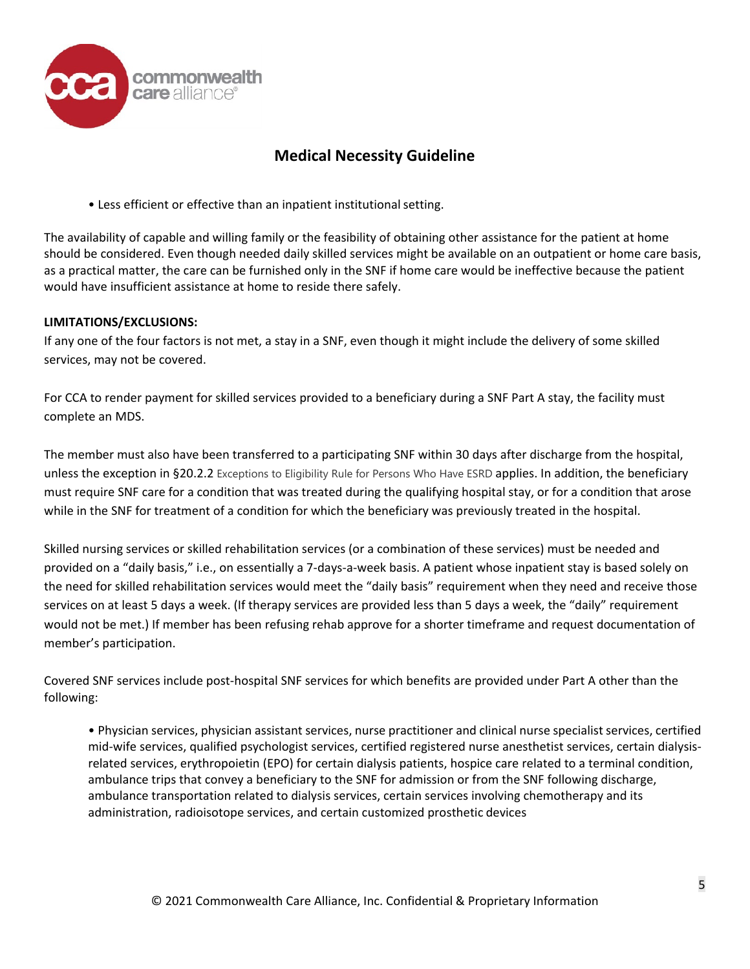

• Less efficient or effective than an inpatient institutional setting.

The availability of capable and willing family or the feasibility of obtaining other assistance for the patient at home should be considered. Even though needed daily skilled services might be available on an outpatient or home care basis, as a practical matter, the care can be furnished only in the SNF if home care would be ineffective because the patient would have insufficient assistance at home to reside there safely.

### **LIMITATIONS/EXCLUSIONS:**

If any one of the four factors is not met, a stay in a SNF, even though it might include the delivery of some skilled services, may not be covered.

For CCA to render payment for skilled services provided to a beneficiary during a SNF Part A stay, the facility must complete an MDS.

The member must also have been transferred to a participating SNF within 30 days after discharge from the hospital, unless the exception in §20.2.2 Exceptions to Eligibility Rule for Persons Who Have ESRD applies. In addition, the beneficiary must require SNF care for a condition that was treated during the qualifying hospital stay, or for a condition that arose while in the SNF for treatment of a condition for which the beneficiary was previously treated in the hospital.

Skilled nursing services or skilled rehabilitation services (or a combination of these services) must be needed and provided on a "daily basis," i.e., on essentially a 7-days-a-week basis. A patient whose inpatient stay is based solely on the need for skilled rehabilitation services would meet the "daily basis" requirement when they need and receive those services on at least 5 days a week. (If therapy services are provided less than 5 days a week, the "daily" requirement would not be met.) If member has been refusing rehab approve for a shorter timeframe and request documentation of member's participation.

Covered SNF services include post-hospital SNF services for which benefits are provided under Part A other than the following:

• Physician services, physician assistant services, nurse practitioner and clinical nurse specialist services, certified mid-wife services, qualified psychologist services, certified registered nurse anesthetist services, certain dialysisrelated services, erythropoietin (EPO) for certain dialysis patients, hospice care related to a terminal condition, ambulance trips that convey a beneficiary to the SNF for admission or from the SNF following discharge, ambulance transportation related to dialysis services, certain services involving chemotherapy and its administration, radioisotope services, and certain customized prosthetic devices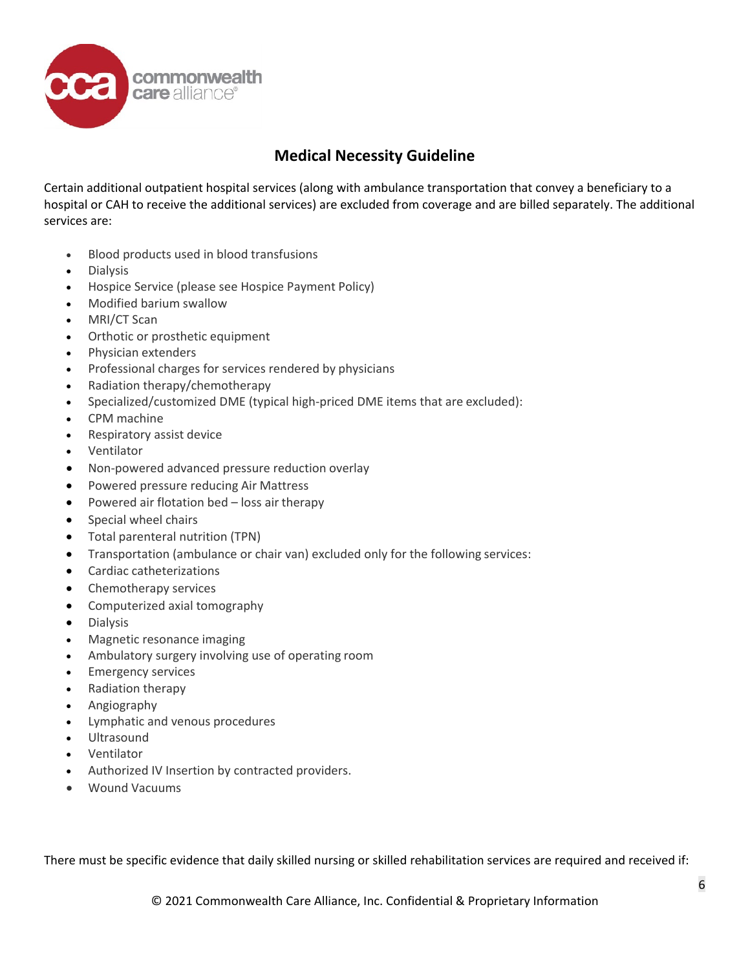

Certain additional outpatient hospital services (along with ambulance transportation that convey a beneficiary to a hospital or CAH to receive the additional services) are excluded from coverage and are billed separately. The additional services are:

- Blood products used in blood transfusions
- Dialysis
- Hospice Service (please see Hospice Payment Policy)
- Modified barium swallow
- MRI/CT Scan
- Orthotic or prosthetic equipment
- Physician extenders
- Professional charges for services rendered by physicians
- Radiation therapy/chemotherapy
- Specialized/customized DME (typical high-priced DME items that are excluded):
- CPM machine
- Respiratory assist device
- Ventilator
- Non-powered advanced pressure reduction overlay
- Powered pressure reducing Air Mattress
- Powered air flotation bed loss air therapy
- Special wheel chairs
- Total parenteral nutrition (TPN)
- Transportation (ambulance or chair van) excluded only for the following services:
- Cardiac catheterizations
- Chemotherapy services
- Computerized axial tomography
- Dialysis
- Magnetic resonance imaging
- Ambulatory surgery involving use of operating room
- **Emergency services**
- Radiation therapy
- Angiography
- Lymphatic and venous procedures
- Ultrasound
- Ventilator
- Authorized IV Insertion by contracted providers.
- Wound Vacuums

There must be specific evidence that daily skilled nursing or skilled rehabilitation services are required and received if: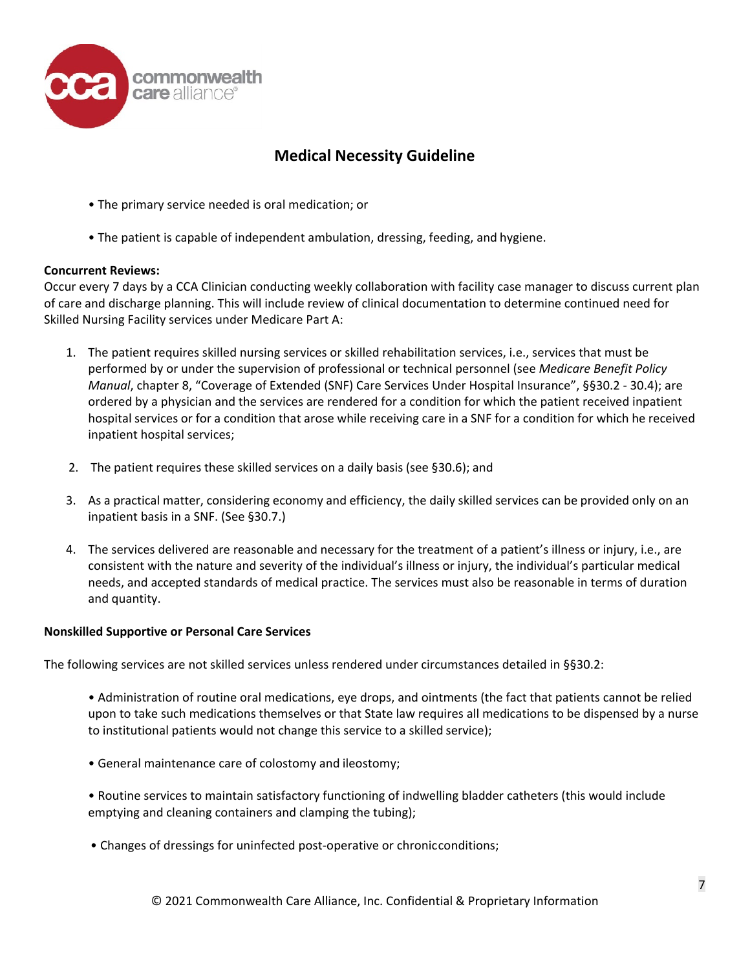

- The primary service needed is oral medication; or
- The patient is capable of independent ambulation, dressing, feeding, and hygiene.

### **Concurrent Reviews:**

Occur every 7 days by a CCA Clinician conducting weekly collaboration with facility case manager to discuss current plan of care and discharge planning. This will include review of clinical documentation to determine continued need for Skilled Nursing Facility services under Medicare Part A:

- 1. The patient requires skilled nursing services or skilled rehabilitation services, i.e., services that must be performed by or under the supervision of professional or technical personnel (see *Medicare Benefit Policy Manual*, chapter 8, "Coverage of Extended (SNF) Care Services Under Hospital Insurance", §§30.2 - 30.4); are ordered by a physician and the services are rendered for a condition for which the patient received inpatient hospital services or for a condition that arose while receiving care in a SNF for a condition for which he received inpatient hospital services;
- 2. The patient requires these skilled services on a daily basis (see §30.6); and
- 3. As a practical matter, considering economy and efficiency, the daily skilled services can be provided only on an inpatient basis in a SNF. (See §30.7.)
- 4. The services delivered are reasonable and necessary for the treatment of a patient's illness or injury, i.e., are consistent with the nature and severity of the individual's illness or injury, the individual's particular medical needs, and accepted standards of medical practice. The services must also be reasonable in terms of duration and quantity.

### **Nonskilled Supportive or Personal Care Services**

The following services are not skilled services unless rendered under circumstances detailed in §§30.2:

- Administration of routine oral medications, eye drops, and ointments (the fact that patients cannot be relied upon to take such medications themselves or that State law requires all medications to be dispensed by a nurse to institutional patients would not change this service to a skilled service);
- General maintenance care of colostomy and ileostomy;
- Routine services to maintain satisfactory functioning of indwelling bladder catheters (this would include emptying and cleaning containers and clamping the tubing);
- Changes of dressings for uninfected post-operative or chronicconditions;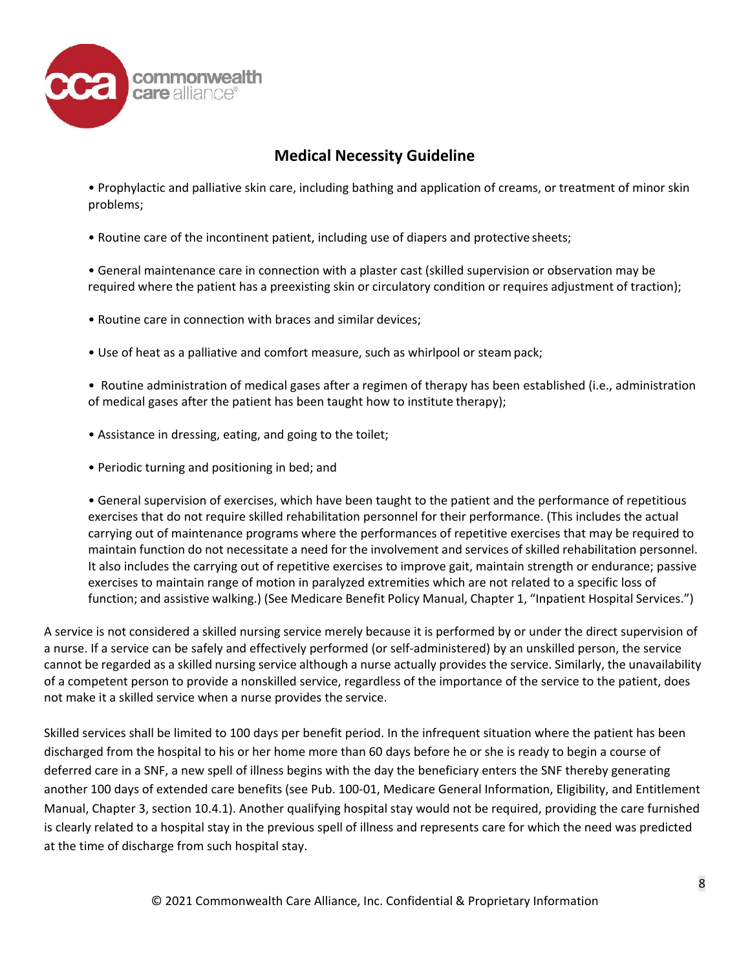

- Prophylactic and palliative skin care, including bathing and application of creams, or treatment of minor skin problems;
- Routine care of the incontinent patient, including use of diapers and protective sheets;

• General maintenance care in connection with a plaster cast (skilled supervision or observation may be required where the patient has a preexisting skin or circulatory condition or requires adjustment of traction);

- Routine care in connection with braces and similar devices;
- Use of heat as a palliative and comfort measure, such as whirlpool or steampack;

• Routine administration of medical gases after a regimen of therapy has been established (i.e., administration of medical gases after the patient has been taught how to institute therapy);

- Assistance in dressing, eating, and going to the toilet;
- Periodic turning and positioning in bed; and

• General supervision of exercises, which have been taught to the patient and the performance of repetitious exercises that do not require skilled rehabilitation personnel for their performance. (This includes the actual carrying out of maintenance programs where the performances of repetitive exercises that may be required to maintain function do not necessitate a need for the involvement and services of skilled rehabilitation personnel. It also includes the carrying out of repetitive exercises to improve gait, maintain strength or endurance; passive exercises to maintain range of motion in paralyzed extremities which are not related to a specific loss of function; and assistive walking.) (See Medicare Benefit Policy Manual, Chapter 1, "Inpatient Hospital Services.")

A service is not considered a skilled nursing service merely because it is performed by or under the direct supervision of a nurse. If a service can be safely and effectively performed (or self-administered) by an unskilled person, the service cannot be regarded as a skilled nursing service although a nurse actually provides the service. Similarly, the unavailability of a competent person to provide a nonskilled service, regardless of the importance of the service to the patient, does not make it a skilled service when a nurse provides the service.

Skilled services shall be limited to 100 days per benefit period. In the infrequent situation where the patient has been discharged from the hospital to his or her home more than 60 days before he or she is ready to begin a course of deferred care in a SNF, a new spell of illness begins with the day the beneficiary enters the SNF thereby generating another 100 days of extended care benefits (see Pub. 100-01, Medicare General Information, Eligibility, and Entitlement Manual, Chapter 3, section 10.4.1). Another qualifying hospital stay would not be required, providing the care furnished is clearly related to a hospital stay in the previous spell of illness and represents care for which the need was predicted at the time of discharge from such hospital stay.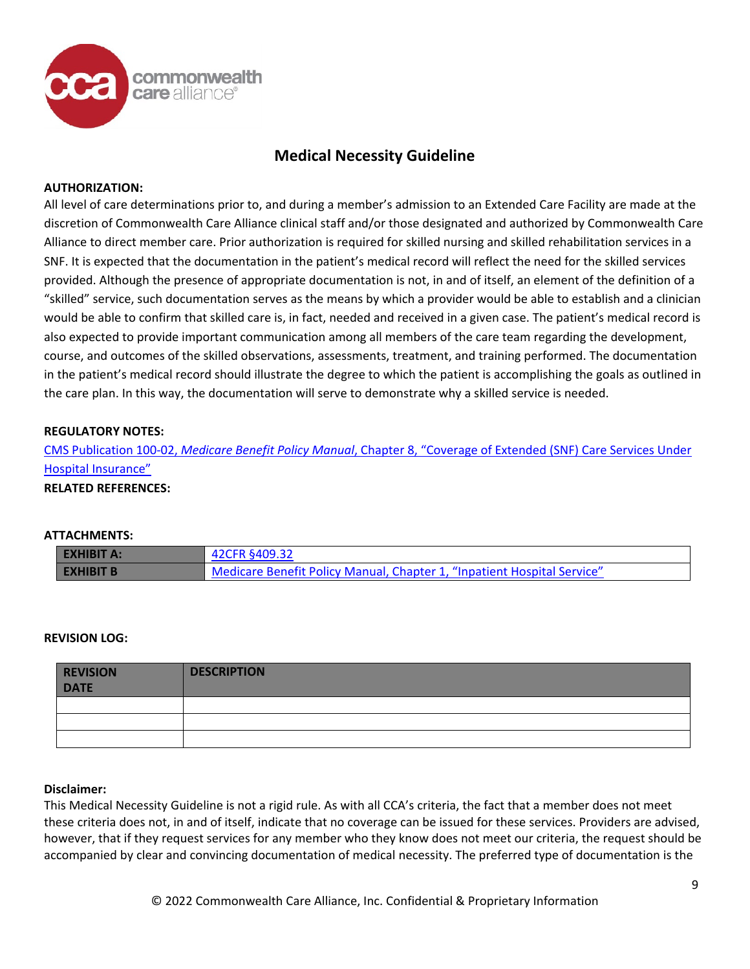

#### **AUTHORIZATION:**

All level of care determinations prior to, and during a member's admission to an Extended Care Facility are made at the discretion of Commonwealth Care Alliance clinical staff and/or those designated and authorized by Commonwealth Care Alliance to direct member care. Prior authorization is required for skilled nursing and skilled rehabilitation services in a SNF. It is expected that the documentation in the patient's medical record will reflect the need for the skilled services provided. Although the presence of appropriate documentation is not, in and of itself, an element of the definition of a "skilled" service, such documentation serves as the means by which a provider would be able to establish and a clinician would be able to confirm that skilled care is, in fact, needed and received in a given case. The patient's medical record is also expected to provide important communication among all members of the care team regarding the development, course, and outcomes of the skilled observations, assessments, treatment, and training performed. The documentation in the patient's medical record should illustrate the degree to which the patient is accomplishing the goals as outlined in the care plan. In this way, the documentation will serve to demonstrate why a skilled service is needed.

### **REGULATORY NOTES:**

CMS Publication 100-02, *Medicare Benefit Policy Manual*[, Chapter 8, "Coverage of Extended \(SNF\) Care Services Under](https://www.cms.gov/Regulations-and-Guidance/Guidance/Manuals/Downloads/bp102c08pdf.pdf) [Hospital Insurance"](https://www.cms.gov/Regulations-and-Guidance/Guidance/Manuals/Downloads/bp102c08pdf.pdf)

### **RELATED REFERENCES:**

#### **ATTACHMENTS:**

| <b>EXHIBIT A:</b> | 42CFR §409.32                                                           |
|-------------------|-------------------------------------------------------------------------|
| <b>EXHIBIT B</b>  | Medicare Benefit Policy Manual, Chapter 1, "Inpatient Hospital Service" |

#### **REVISION LOG:**

| <b>REVISION</b><br><b>DATE</b> | <b>DESCRIPTION</b> |
|--------------------------------|--------------------|
|                                |                    |
|                                |                    |
|                                |                    |

#### **Disclaimer:**

This Medical Necessity Guideline is not a rigid rule. As with all CCA's criteria, the fact that a member does not meet these criteria does not, in and of itself, indicate that no coverage can be issued for these services. Providers are advised, however, that if they request services for any member who they know does not meet our criteria, the request should be accompanied by clear and convincing documentation of medical necessity. The preferred type of documentation is the